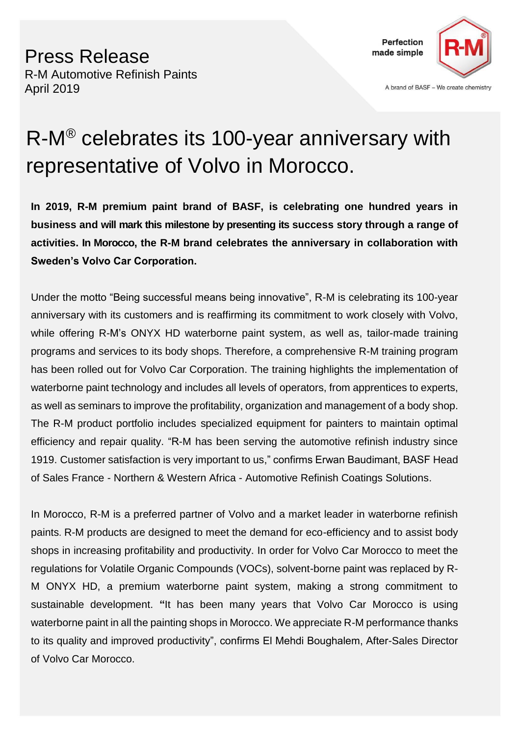

A brand of BASF - We create chemistry

# R-M® celebrates its 100-year anniversary with representative of Volvo in Morocco.

**In 2019, R-M premium paint brand of BASF, is celebrating one hundred years in business and will mark this milestone by presenting its success story through a range of activities. In Morocco, the R-M brand celebrates the anniversary in collaboration with Sweden's Volvo Car Corporation.**

Under the motto "Being successful means being innovative", R-M is celebrating its 100-year anniversary with its customers and is reaffirming its commitment to work closely with Volvo, while offering R-M's ONYX HD waterborne paint system, as well as, tailor-made training programs and services to its body shops. Therefore, a comprehensive R-M training program has been rolled out for Volvo Car Corporation. The training highlights the implementation of waterborne paint technology and includes all levels of operators, from apprentices to experts, as well as seminars to improve the profitability, organization and management of a body shop. The R-M product portfolio includes specialized equipment for painters to maintain optimal efficiency and repair quality. "R-M has been serving the automotive refinish industry since 1919. Customer satisfaction is very important to us," confirms Erwan Baudimant, BASF Head of Sales France - Northern & Western Africa - Automotive Refinish Coatings Solutions.

In Morocco, R-M is a preferred partner of Volvo and a market leader in waterborne refinish paints**.** R-M products are designed to meet the demand for eco-efficiency and to assist body shops in increasing profitability and productivity. In order for Volvo Car Morocco to meet the regulations for Volatile Organic Compounds (VOCs), solvent-borne paint was replaced by R-M ONYX HD, a premium waterborne paint system, making a strong commitment to sustainable development. **"**It has been many years that Volvo Car Morocco is using waterborne paint in all the painting shops in Morocco. We appreciate R-M performance thanks to its quality and improved productivity", confirms El Mehdi Boughalem, After-Sales Director of Volvo Car Morocco.